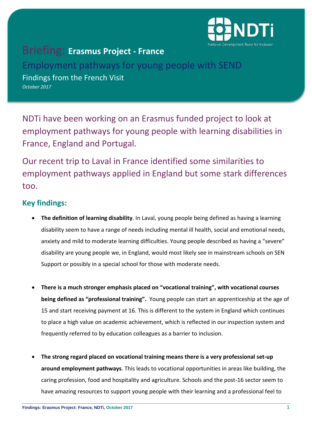

## Briefing: **Erasmus Project - France**

Employment pathways for young people with SEND Findings from the French Visit *October 2017*

NDTi have been working on an Erasmus funded project to look at employment pathways for young people with learning disabilities in France, England and Portugal.

Our recent trip to Laval in France identified some similarities to employment pathways applied in England but some stark differences too.

## **Key findings:**

- **The definition of learning disability**. In Laval, young people being defined as having a learning disability seem to have a range of needs including mental ill health, social and emotional needs, anxiety and mild to moderate learning difficulties. Young people described as having a "severe" disability are young people we, in England, would most likely see in mainstream schools on SEN Support or possibly in a special school for those with moderate needs.
- **There is a much stronger emphasis placed on "vocational training", with vocational courses being defined as "professional training".** Young people can start an apprenticeship at the age of 15 and start receiving payment at 16. This is different to the system in England which continues to place a high value on academic achievement, which is reflected in our inspection system and frequently referred to by education colleagues as a barrier to inclusion.
- **The strong regard placed on vocational training means there is a very professional set-up around employment pathways**. This leads to vocational opportunities in areas like building, the caring profession, food and hospitality and agriculture. Schools and the post-16 sector seem to have amazing resources to support young people with their learning and a professional feel to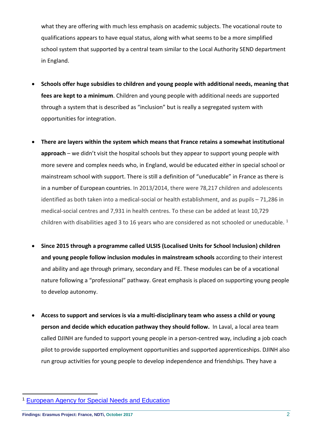what they are offering with much less emphasis on academic subjects. The vocational route to qualifications appears to have equal status, along with what seems to be a more simplified school system that supported by a central team similar to the Local Authority SEND department in England.

- **Schools offer huge subsidies to children and young people with additional needs, meaning that fees are kept to a minimum**. Children and young people with additional needs are supported through a system that is described as "inclusion" but is really a segregated system with opportunities for integration.
- **There are layers within the system which means that France retains a somewhat institutional approach** – we didn't visit the hospital schools but they appear to support young people with more severe and complex needs who, in England, would be educated either in special school or mainstream school with support. There is still a definition of "uneducable" in France as there is in a number of European countries. In 2013/2014, there were 78,217 children and adolescents identified as both taken into a medical-social or health establishment, and as pupils – 71,286 in medical-social centres and 7,931 in health centres. To these can be added at least 10,729 children with disabilities aged 3 to [1](#page-1-0)6 years who are considered as not schooled or uneducable.<sup>1</sup>
- **Since 2015 through a programme called ULSIS (Localised Units for School Inclusion) children and young people follow inclusion modules in mainstream schools** according to their interest and ability and age through primary, secondary and FE. These modules can be of a vocational nature following a "professional" pathway. Great emphasis is placed on supporting young people to develop autonomy.
- **Access to support and services is via a multi-disciplinary team who assess a child or young person and decide which education pathway they should follow.** In Laval, a local area team called DJINH are funded to support young people in a person-centred way, including a job coach pilot to provide supported employment opportunities and supported apprenticeships. DJINH also run group activities for young people to develop independence and friendships. They have a

 $\overline{a}$ 

<span id="page-1-0"></span><sup>1</sup> [European Agency for Special Needs and Education](https://www.european-agency.org/country-information/france/national-overview/special-needs-education-within-the-education-system)

**Findings: Erasmus Project: France, NDTi, October 2017** 2